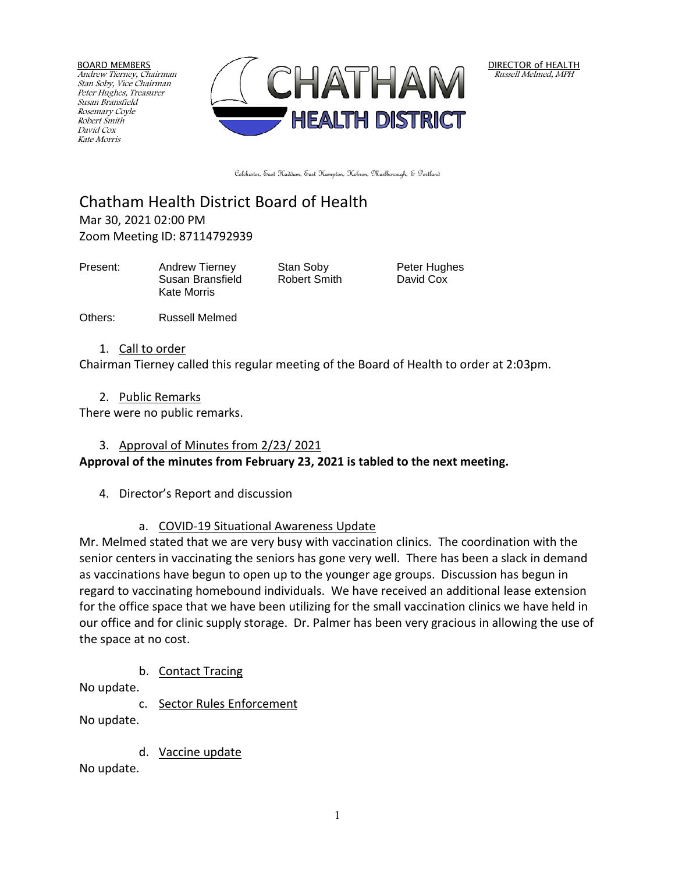BOARD MEMBERS Andrew Tierney, Chairman Stan Soby, Vice Chairman Peter Hughes, Treasurer Susan Bransfield Rosemary Coyle Robert Smith David Cox Kate Morris



DIRECTOR of HEALTH Russell Melmed, MPH

Colchester, East Haddam, East Hampton, Hebron, Marlborough, & Portland

Chatham Health District Board of Health Mar 30, 2021 02:00 PM Zoom Meeting ID: 87114792939

Present: Andrew Tierney Stan Soby Peter Hughes Susan Bransfield Robert Smith David Cox Kate Morris

Others: Russell Melmed

1. Call to order

Chairman Tierney called this regular meeting of the Board of Health to order at 2:03pm.

2. Public Remarks

There were no public remarks.

#### 3. Approval of Minutes from 2/23/ 2021

**Approval of the minutes from February 23, 2021 is tabled to the next meeting.**

- 4. Director's Report and discussion
	- a. COVID-19 Situational Awareness Update

Mr. Melmed stated that we are very busy with vaccination clinics. The coordination with the senior centers in vaccinating the seniors has gone very well. There has been a slack in demand as vaccinations have begun to open up to the younger age groups. Discussion has begun in regard to vaccinating homebound individuals. We have received an additional lease extension for the office space that we have been utilizing for the small vaccination clinics we have held in our office and for clinic supply storage. Dr. Palmer has been very gracious in allowing the use of the space at no cost.

b. Contact Tracing

No update.

c. Sector Rules Enforcement

No update.

d. Vaccine update

No update.